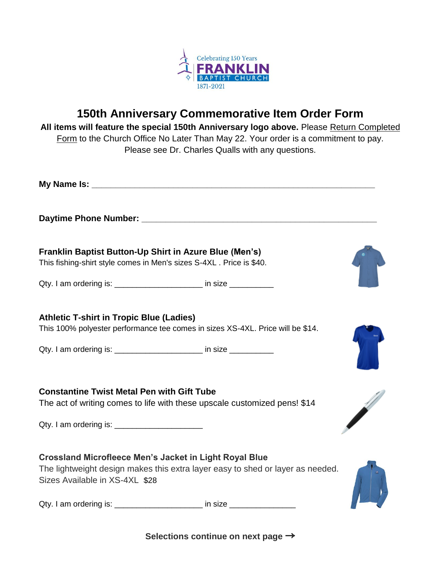

## **150th Anniversary Commemorative Item Order Form**

**All items will feature the special 150th Anniversary logo above.** Please Return Completed Form to the Church Office No Later Than May 22. Your order is a commitment to pay. Please see Dr. Charles Qualls with any questions.

| Franklin Baptist Button-Up Shirt in Azure Blue (Men's)<br>This fishing-shirt style comes in Men's sizes S-4XL. Price is \$40.                                                                           |  |  |
|---------------------------------------------------------------------------------------------------------------------------------------------------------------------------------------------------------|--|--|
| Qty. I am ordering is: ________________________ in size ___________                                                                                                                                     |  |  |
| <b>Athletic T-shirt in Tropic Blue (Ladies)</b><br>This 100% polyester performance tee comes in sizes XS-4XL. Price will be \$14.<br>Qty. I am ordering is: _______________________ in size ___________ |  |  |
| <b>Constantine Twist Metal Pen with Gift Tube</b><br>The act of writing comes to life with these upscale customized pens! \$14                                                                          |  |  |
|                                                                                                                                                                                                         |  |  |
| <b>Crossland Microfleece Men's Jacket in Light Royal Blue</b><br>The lightweight design makes this extra layer easy to shed or layer as needed.<br>Sizes Available in XS-4XL \$28                       |  |  |
| Qty. I am ordering is: _______________________ in size _________________________                                                                                                                        |  |  |

**Selections continue on next page** →